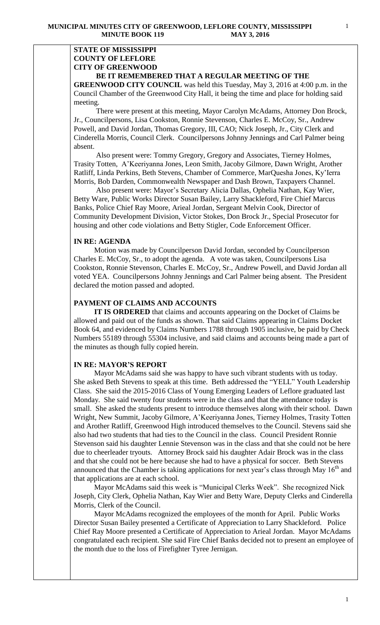#### **STATE OF MISSISSIPPI COUNTY OF LEFLORE CITY OF GREENWOOD BE IT REMEMBERED THAT A REGULAR MEETING OF THE**

**GREENWOOD CITY COUNCIL** was held this Tuesday, May 3, 2016 at 4:00 p.m. in the Council Chamber of the Greenwood City Hall, it being the time and place for holding said meeting.

There were present at this meeting, Mayor Carolyn McAdams, Attorney Don Brock, Jr., Councilpersons, Lisa Cookston, Ronnie Stevenson, Charles E. McCoy, Sr., Andrew Powell, and David Jordan, Thomas Gregory, III, CAO; Nick Joseph, Jr., City Clerk and Cinderella Morris, Council Clerk. Councilpersons Johnny Jennings and Carl Palmer being absent.

 Also present were: Tommy Gregory, Gregory and Associates, Tierney Holmes, Trasity Totten, A'Keeriyanna Jones, Leon Smith, Jacoby Gilmore, Dawn Wright, Arother Ratliff, Linda Perkins, Beth Stevens, Chamber of Commerce, MarQuesha Jones, Ky'Ierra Morris, Bob Darden, Commonwealth Newspaper and Dash Brown, Taxpayers Channel.

 Also present were: Mayor's Secretary Alicia Dallas, Ophelia Nathan, Kay Wier, Betty Ware, Public Works Director Susan Bailey, Larry Shackleford, Fire Chief Marcus Banks, Police Chief Ray Moore, Arieal Jordan, Sergeant Melvin Cook, Director of Community Development Division, Victor Stokes, Don Brock Jr., Special Prosecutor for housing and other code violations and Betty Stigler, Code Enforcement Officer.

#### **IN RE: AGENDA**

 Motion was made by Councilperson David Jordan, seconded by Councilperson Charles E. McCoy, Sr., to adopt the agenda. A vote was taken, Councilpersons Lisa Cookston, Ronnie Stevenson, Charles E. McCoy, Sr., Andrew Powell, and David Jordan all voted YEA. Councilpersons Johnny Jennings and Carl Palmer being absent. The President declared the motion passed and adopted.

# **PAYMENT OF CLAIMS AND ACCOUNTS**

 **IT IS ORDERED** that claims and accounts appearing on the Docket of Claims be allowed and paid out of the funds as shown. That said Claims appearing in Claims Docket Book 64, and evidenced by Claims Numbers 1788 through 1905 inclusive, be paid by Check Numbers 55189 through 55304 inclusive, and said claims and accounts being made a part of the minutes as though fully copied herein.

#### **IN RE: MAYOR'S REPORT**

 Mayor McAdams said she was happy to have such vibrant students with us today. She asked Beth Stevens to speak at this time. Beth addressed the "YELL" Youth Leadership Class. She said the 2015-2016 Class of Young Emerging Leaders of Leflore graduated last Monday. She said twenty four students were in the class and that the attendance today is small. She asked the students present to introduce themselves along with their school. Dawn Wright, New Summit, Jacoby Gilmore, A'Keeriyanna Jones, Tierney Holmes, Trasity Totten and Arother Ratliff, Greenwood High introduced themselves to the Council. Stevens said she also had two students that had ties to the Council in the class. Council President Ronnie Stevenson said his daughter Lennie Stevenson was in the class and that she could not be here due to cheerleader tryouts. Attorney Brock said his daughter Adair Brock was in the class and that she could not be here because she had to have a physical for soccer. Beth Stevens announced that the Chamber is taking applications for next year's class through May  $16<sup>th</sup>$  and that applications are at each school.

 Mayor McAdams said this week is "Municipal Clerks Week". She recognized Nick Joseph, City Clerk, Ophelia Nathan, Kay Wier and Betty Ware, Deputy Clerks and Cinderella Morris, Clerk of the Council.

 Mayor McAdams recognized the employees of the month for April. Public Works Director Susan Bailey presented a Certificate of Appreciation to Larry Shackleford. Police Chief Ray Moore presented a Certificate of Appreciation to Arieal Jordan. Mayor McAdams congratulated each recipient. She said Fire Chief Banks decided not to present an employee of the month due to the loss of Firefighter Tyree Jernigan.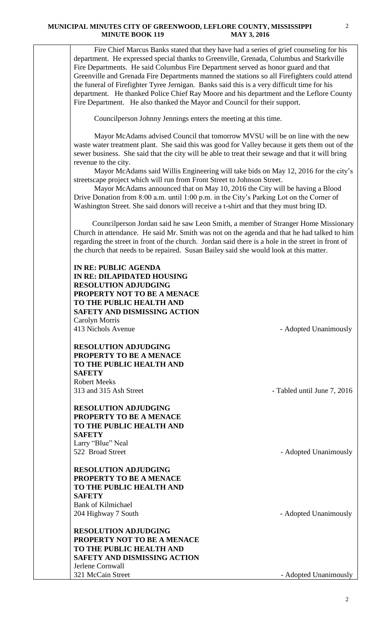Fire Chief Marcus Banks stated that they have had a series of grief counseling for his department. He expressed special thanks to Greenville, Grenada, Columbus and Starkville Fire Departments. He said Columbus Fire Department served as honor guard and that Greenville and Grenada Fire Departments manned the stations so all Firefighters could attend the funeral of Firefighter Tyree Jernigan. Banks said this is a very difficult time for his department. He thanked Police Chief Ray Moore and his department and the Leflore County Fire Department. He also thanked the Mayor and Council for their support.

Councilperson Johnny Jennings enters the meeting at this time.

 Mayor McAdams advised Council that tomorrow MVSU will be on line with the new waste water treatment plant. She said this was good for Valley because it gets them out of the sewer business. She said that the city will be able to treat their sewage and that it will bring revenue to the city.

 Mayor McAdams said Willis Engineering will take bids on May 12, 2016 for the city's streetscape project which will run from Front Street to Johnson Street.

 Mayor McAdams announced that on May 10, 2016 the City will be having a Blood Drive Donation from 8:00 a.m. until 1:00 p.m. in the City's Parking Lot on the Corner of Washington Street. She said donors will receive a t-shirt and that they must bring ID.

 Councilperson Jordan said he saw Leon Smith, a member of Stranger Home Missionary Church in attendance. He said Mr. Smith was not on the agenda and that he had talked to him regarding the street in front of the church. Jordan said there is a hole in the street in front of the church that needs to be repaired. Susan Bailey said she would look at this matter.

| <b>IN RE: PUBLIC AGENDA</b>         |
|-------------------------------------|
| IN RE: DILAPIDATED HOUSING          |
| <b>RESOLUTION ADJUDGING</b>         |
| <b>PROPERTY NOT TO BE A MENACE</b>  |
| TO THE PUBLIC HEALTH AND            |
| <b>SAFETY AND DISMISSING ACTION</b> |
| Carolyn Morris                      |
| 413 Nichols Avenue                  |
|                                     |

**RESOLUTION ADJUDGING PROPERTY TO BE A MENACE TO THE PUBLIC HEALTH AND SAFETY** Robert Meeks 313 and 315 Ash Street - Tabled until June 7, 2016

**RESOLUTION ADJUDGING PROPERTY TO BE A MENACE TO THE PUBLIC HEALTH AND SAFETY** Larry "Blue" Neal 522 Broad Street - Adopted Unanimously

**RESOLUTION ADJUDGING PROPERTY TO BE A MENACE TO THE PUBLIC HEALTH AND SAFETY** Bank of Kilmichael 204 Highway 7 South **- Adopted Unanimously** 

**RESOLUTION ADJUDGING PROPERTY NOT TO BE A MENACE TO THE PUBLIC HEALTH AND SAFETY AND DISMISSING ACTION** Jerlene Cornwall 321 McCain Street - Adopted Unanimously

- Adopted Unanimously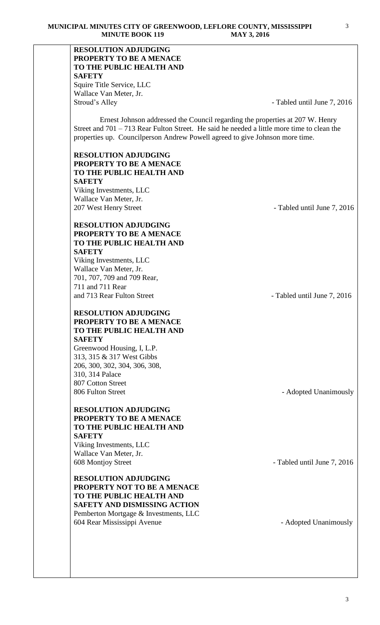# **RESOLUTION ADJUDGING PROPERTY TO BE A MENACE TO THE PUBLIC HEALTH AND SAFETY** Squire Title Service, LLC Wallace Van Meter, Jr. Stroud's Alley **- Tabled until June 7, 2016** Ernest Johnson addressed the Council regarding the properties at 207 W. Henry Street and 701 – 713 Rear Fulton Street. He said he needed a little more time to clean the properties up. Councilperson Andrew Powell agreed to give Johnson more time. **RESOLUTION ADJUDGING PROPERTY TO BE A MENACE TO THE PUBLIC HEALTH AND SAFETY** Viking Investments, LLC Wallace Van Meter, Jr. 207 West Henry Street **- Tabled until June 7, 2016 RESOLUTION ADJUDGING PROPERTY TO BE A MENACE TO THE PUBLIC HEALTH AND SAFETY** Viking Investments, LLC Wallace Van Meter, Jr. 701, 707, 709 and 709 Rear, 711 and 711 Rear and 713 Rear Fulton Street - Tabled until June 7, 2016 **RESOLUTION ADJUDGING PROPERTY TO BE A MENACE TO THE PUBLIC HEALTH AND SAFETY** Greenwood Housing, I, L.P. 313, 315 & 317 West Gibbs 206, 300, 302, 304, 306, 308, 310, 314 Palace 807 Cotton Street 806 Fulton Street - Adopted Unanimously **RESOLUTION ADJUDGING PROPERTY TO BE A MENACE TO THE PUBLIC HEALTH AND SAFETY** Viking Investments, LLC Wallace Van Meter, Jr. 608 Montjoy Street - Tabled until June 7, 2016 **RESOLUTION ADJUDGING PROPERTY NOT TO BE A MENACE TO THE PUBLIC HEALTH AND SAFETY AND DISMISSING ACTION** Pemberton Mortgage & Investments, LLC 604 Rear Mississippi Avenue - Adopted Unanimously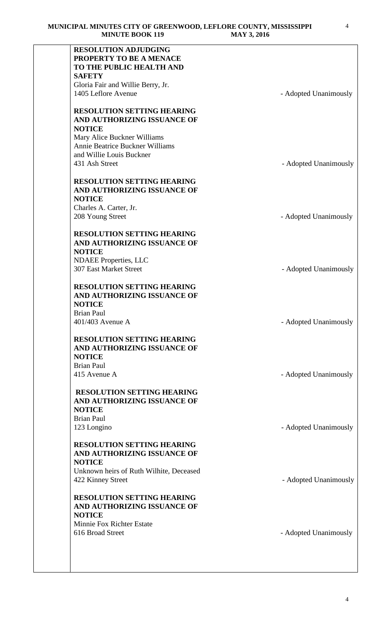| <b>RESOLUTION ADJUDGING</b>             |                       |
|-----------------------------------------|-----------------------|
| PROPERTY TO BE A MENACE                 |                       |
| TO THE PUBLIC HEALTH AND                |                       |
| <b>SAFETY</b>                           |                       |
| Gloria Fair and Willie Berry, Jr.       |                       |
| 1405 Leflore Avenue                     | - Adopted Unanimously |
|                                         |                       |
| <b>RESOLUTION SETTING HEARING</b>       |                       |
| AND AUTHORIZING ISSUANCE OF             |                       |
| <b>NOTICE</b>                           |                       |
|                                         |                       |
| Mary Alice Buckner Williams             |                       |
| <b>Annie Beatrice Buckner Williams</b>  |                       |
| and Willie Louis Buckner                |                       |
| 431 Ash Street                          | - Adopted Unanimously |
|                                         |                       |
| <b>RESOLUTION SETTING HEARING</b>       |                       |
| AND AUTHORIZING ISSUANCE OF             |                       |
| <b>NOTICE</b>                           |                       |
| Charles A. Carter, Jr.                  |                       |
| 208 Young Street                        | - Adopted Unanimously |
|                                         |                       |
| <b>RESOLUTION SETTING HEARING</b>       |                       |
| AND AUTHORIZING ISSUANCE OF             |                       |
| <b>NOTICE</b>                           |                       |
| <b>NDAEE</b> Properties, LLC            |                       |
| <b>307 East Market Street</b>           | - Adopted Unanimously |
|                                         |                       |
| <b>RESOLUTION SETTING HEARING</b>       |                       |
|                                         |                       |
| AND AUTHORIZING ISSUANCE OF             |                       |
| <b>NOTICE</b>                           |                       |
| <b>Brian Paul</b>                       |                       |
| 401/403 Avenue A                        | - Adopted Unanimously |
|                                         |                       |
| <b>RESOLUTION SETTING HEARING</b>       |                       |
| AND AUTHORIZING ISSUANCE OF             |                       |
| <b>NOTICE</b>                           |                       |
| <b>Brian Paul</b>                       |                       |
| 415 Avenue A                            | - Adopted Unanimously |
|                                         |                       |
| <b>RESOLUTION SETTING HEARING</b>       |                       |
| AND AUTHORIZING ISSUANCE OF             |                       |
| <b>NOTICE</b>                           |                       |
| <b>Brian Paul</b>                       |                       |
| 123 Longino                             | - Adopted Unanimously |
|                                         |                       |
| <b>RESOLUTION SETTING HEARING</b>       |                       |
| AND AUTHORIZING ISSUANCE OF             |                       |
| <b>NOTICE</b>                           |                       |
| Unknown heirs of Ruth Wilhite, Deceased |                       |
|                                         |                       |
| 422 Kinney Street                       | - Adopted Unanimously |
|                                         |                       |
| <b>RESOLUTION SETTING HEARING</b>       |                       |
| AND AUTHORIZING ISSUANCE OF             |                       |
| <b>NOTICE</b>                           |                       |
| Minnie Fox Richter Estate               |                       |
| 616 Broad Street                        | - Adopted Unanimously |
|                                         |                       |
|                                         |                       |
|                                         |                       |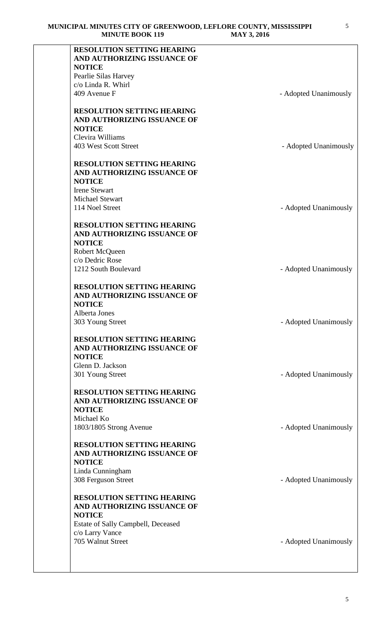| <b>RESOLUTION SETTING HEARING</b>  |                       |
|------------------------------------|-----------------------|
| AND AUTHORIZING ISSUANCE OF        |                       |
| <b>NOTICE</b>                      |                       |
| Pearlie Silas Harvey               |                       |
| c/o Linda R. Whirl                 |                       |
| 409 Avenue F                       | - Adopted Unanimously |
| <b>RESOLUTION SETTING HEARING</b>  |                       |
| AND AUTHORIZING ISSUANCE OF        |                       |
|                                    |                       |
| <b>NOTICE</b>                      |                       |
| Clevira Williams                   |                       |
| 403 West Scott Street              | - Adopted Unanimously |
| <b>RESOLUTION SETTING HEARING</b>  |                       |
| AND AUTHORIZING ISSUANCE OF        |                       |
| <b>NOTICE</b>                      |                       |
| <b>Irene Stewart</b>               |                       |
| <b>Michael Stewart</b>             |                       |
| 114 Noel Street                    | - Adopted Unanimously |
|                                    |                       |
| <b>RESOLUTION SETTING HEARING</b>  |                       |
| AND AUTHORIZING ISSUANCE OF        |                       |
| <b>NOTICE</b>                      |                       |
| Robert McQueen                     |                       |
| c/o Dedric Rose                    |                       |
| 1212 South Boulevard               | - Adopted Unanimously |
|                                    |                       |
| <b>RESOLUTION SETTING HEARING</b>  |                       |
| AND AUTHORIZING ISSUANCE OF        |                       |
| <b>NOTICE</b>                      |                       |
| Alberta Jones                      |                       |
| 303 Young Street                   | - Adopted Unanimously |
|                                    |                       |
| <b>RESOLUTION SETTING HEARING</b>  |                       |
| AND AUTHORIZING ISSUANCE OF        |                       |
| <b>NOTICE</b>                      |                       |
| Glenn D. Jackson                   |                       |
| 301 Young Street                   | - Adopted Unanimously |
|                                    |                       |
| <b>RESOLUTION SETTING HEARING</b>  |                       |
| AND AUTHORIZING ISSUANCE OF        |                       |
| <b>NOTICE</b>                      |                       |
| Michael Ko                         |                       |
| 1803/1805 Strong Avenue            | - Adopted Unanimously |
|                                    |                       |
| <b>RESOLUTION SETTING HEARING</b>  |                       |
| AND AUTHORIZING ISSUANCE OF        |                       |
| <b>NOTICE</b>                      |                       |
| Linda Cunningham                   |                       |
| 308 Ferguson Street                | - Adopted Unanimously |
| <b>RESOLUTION SETTING HEARING</b>  |                       |
| AND AUTHORIZING ISSUANCE OF        |                       |
|                                    |                       |
| <b>NOTICE</b>                      |                       |
| Estate of Sally Campbell, Deceased |                       |
| c/o Larry Vance                    |                       |
| 705 Walnut Street                  | - Adopted Unanimously |
|                                    |                       |
|                                    |                       |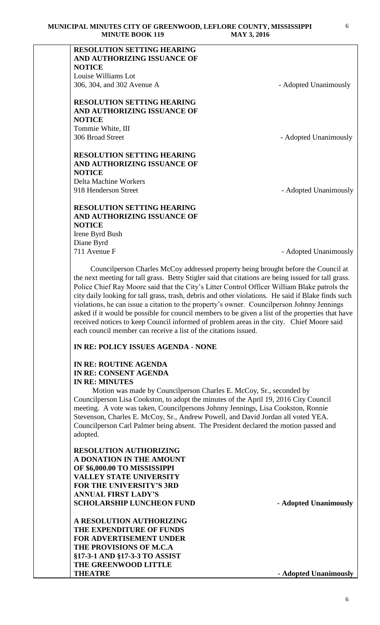| <b>RESOLUTION SETTING HEARING</b> |                       |
|-----------------------------------|-----------------------|
| AND AUTHORIZING ISSUANCE OF       |                       |
| <b>NOTICE</b>                     |                       |
| Louise Williams Lot               |                       |
| 306, 304, and 302 Avenue A        | - Adopted Unanimously |
|                                   |                       |
| <b>RESOLUTION SETTING HEARING</b> |                       |
| AND AUTHORIZING ISSUANCE OF       |                       |
| <b>NOTICE</b>                     |                       |
| Tommie White, III                 |                       |
| 306 Broad Street                  | - Adopted Unanimously |
|                                   |                       |
| <b>RESOLUTION SETTING HEARING</b> |                       |
| AND AUTHORIZING ISSUANCE OF       |                       |
| <b>NOTICE</b>                     |                       |
| <b>Delta Machine Workers</b>      |                       |
| 918 Henderson Street              | - Adopted Unanimously |
|                                   |                       |
| <b>RESOLUTION SETTING HEARING</b> |                       |
| AND AUTHORIZING ISSUANCE OF       |                       |
| <b>NOTICE</b>                     |                       |
| Irene Byrd Bush                   |                       |

Irene Byrd Bush Diane Byrd

711 Avenue F - Adopted Unanimously

 Councilperson Charles McCoy addressed property being brought before the Council at the next meeting for tall grass. Betty Stigler said that citations are being issued for tall grass. Police Chief Ray Moore said that the City's Litter Control Officer William Blake patrols the city daily looking for tall grass, trash, debris and other violations. He said if Blake finds such violations, he can issue a citation to the property's owner. Councilperson Johnny Jennings asked if it would be possible for council members to be given a list of the properties that have received notices to keep Council informed of problem areas in the city. Chief Moore said each council member can receive a list of the citations issued.

#### **IN RE: POLICY ISSUES AGENDA - NONE**

#### **IN RE: ROUTINE AGENDA IN RE: CONSENT AGENDA IN RE: MINUTES**

 Motion was made by Councilperson Charles E. McCoy, Sr., seconded by Councilperson Lisa Cookston, to adopt the minutes of the April 19, 2016 City Council meeting. A vote was taken, Councilpersons Johnny Jennings, Lisa Cookston, Ronnie Stevenson, Charles E. McCoy, Sr., Andrew Powell, and David Jordan all voted YEA. Councilperson Carl Palmer being absent. The President declared the motion passed and adopted.

# **RESOLUTION AUTHORIZING A DONATION IN THE AMOUNT OF \$6,000.00 TO MISSISSIPPI VALLEY STATE UNIVERSITY FOR THE UNIVERSITY'S 3RD ANNUAL FIRST LADY'S SCHOLARSHIP LUNCHEON FUND - Adopted Unanimously**

**A RESOLUTION AUTHORIZING THE EXPENDITURE OF FUNDS FOR ADVERTISEMENT UNDER THE PROVISIONS OF M.C.A §17-3-1 AND §17-3-3 TO ASSIST THE GREENWOOD LITTLE THEATRE** - **Adopted Unanimously**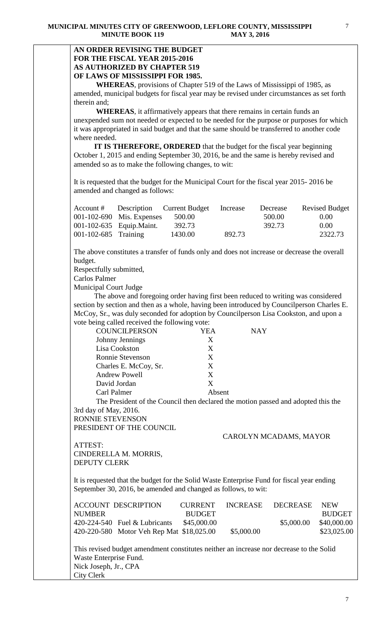### **AN ORDER REVISING THE BUDGET FOR THE FISCAL YEAR 2015-2016 AS AUTHORIZED BY CHAPTER 519 OF LAWS OF MISSISSIPPI FOR 1985.**

**WHEREAS**, provisions of Chapter 519 of the Laws of Mississippi of 1985, as amended, municipal budgets for fiscal year may be revised under circumstances as set forth therein and;

**WHEREAS**, it affirmatively appears that there remains in certain funds an unexpended sum not needed or expected to be needed for the purpose or purposes for which it was appropriated in said budget and that the same should be transferred to another code where needed.

 **IT IS THEREFORE, ORDERED** that the budget for the fiscal year beginning October 1, 2015 and ending September 30, 2016, be and the same is hereby revised and amended so as to make the following changes, to wit:

It is requested that the budget for the Municipal Court for the fiscal year 2015- 2016 be amended and changed as follows:

|                            |                           | Account # Description Current Budget | Increase | Decrease | <b>Revised Budget</b> |
|----------------------------|---------------------------|--------------------------------------|----------|----------|-----------------------|
|                            | 001-102-690 Mis. Expenses | 500.00                               |          | 500.00   | 0.00                  |
|                            | 001-102-635 Equip. Maint. | 392.73                               |          | 392.73   | 0.00 <sub>1</sub>     |
| $001 - 102 - 685$ Training |                           | 1430.00                              | 892.73   |          | 2322.73               |

The above constitutes a transfer of funds only and does not increase or decrease the overall budget.

Respectfully submitted,

Carlos Palmer

Municipal Court Judge

 The above and foregoing order having first been reduced to writing was considered section by section and then as a whole, having been introduced by Councilperson Charles E. McCoy, Sr., was duly seconded for adoption by Councilperson Lisa Cookston, and upon a vote being called received the following vote:

| <b>COUNCILPERSON</b>    | YEA    | <b>NAY</b> |
|-------------------------|--------|------------|
| Johnny Jennings         | X      |            |
| Lisa Cookston           | X      |            |
| <b>Ronnie Stevenson</b> | X      |            |
| Charles E. McCoy, Sr.   | X      |            |
| <b>Andrew Powell</b>    | X      |            |
| David Jordan            | X      |            |
| Carl Palmer             | Absent |            |
|                         |        |            |

The President of the Council then declared the motion passed and adopted this the 3rd day of May, 2016.

RONNIE STEVENSON PRESIDENT OF THE COUNCIL

CAROLYN MCADAMS, MAYOR

ATTEST: CINDERELLA M. MORRIS, DEPUTY CLERK

It is requested that the budget for the Solid Waste Enterprise Fund for fiscal year ending September 30, 2016, be amended and changed as follows, to wit:

|               | <b>ACCOUNT DESCRIPTION</b>                | CURRENT       | INCREASE   | DECREASE   | <b>NEW</b>    |
|---------------|-------------------------------------------|---------------|------------|------------|---------------|
| <b>NUMBER</b> |                                           | <b>BUDGET</b> |            |            | <b>BUDGET</b> |
|               | $420-224-540$ Fuel & Lubricants           | \$45,000.00   |            | \$5,000.00 | \$40,000.00   |
|               | 420-220-580 Motor Veh Rep Mat \$18,025.00 |               | \$5,000.00 |            | \$23,025.00   |

This revised budget amendment constitutes neither an increase nor decrease to the Solid Waste Enterprise Fund. Nick Joseph, Jr., CPA City Clerk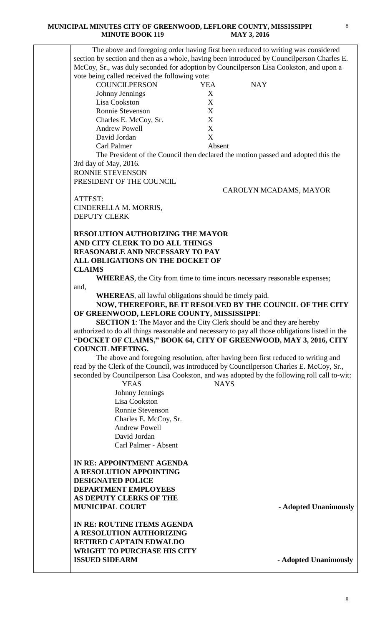|                             | The above and foregoing order having first been reduced to writing was considered               |
|-----------------------------|-------------------------------------------------------------------------------------------------|
|                             | section by section and then as a whole, having been introduced by Councilperson Charles E.      |
|                             | McCoy, Sr., was duly seconded for adoption by Councilperson Lisa Cookston, and upon a           |
|                             | vote being called received the following vote:                                                  |
| <b>COUNCILPERSON</b>        | <b>YEA</b><br><b>NAY</b>                                                                        |
| Johnny Jennings             | X                                                                                               |
| Lisa Cookston               | X                                                                                               |
| <b>Ronnie Stevenson</b>     | X                                                                                               |
|                             | X<br>Charles E. McCoy, Sr.                                                                      |
| <b>Andrew Powell</b>        | X                                                                                               |
| David Jordan                | X                                                                                               |
| Carl Palmer                 | Absent                                                                                          |
|                             | The President of the Council then declared the motion passed and adopted this the               |
| 3rd day of May, 2016.       |                                                                                                 |
| RONNIE STEVENSON            |                                                                                                 |
|                             |                                                                                                 |
| PRESIDENT OF THE COUNCIL    |                                                                                                 |
|                             | CAROLYN MCADAMS, MAYOR                                                                          |
| ATTEST:                     |                                                                                                 |
| CINDERELLA M. MORRIS,       |                                                                                                 |
| <b>DEPUTY CLERK</b>         |                                                                                                 |
|                             |                                                                                                 |
|                             | <b>RESOLUTION AUTHORIZING THE MAYOR</b>                                                         |
|                             | AND CITY CLERK TO DO ALL THINGS                                                                 |
|                             | <b>REASONABLE AND NECESSARY TO PAY</b>                                                          |
|                             | ALL OBLIGATIONS ON THE DOCKET OF                                                                |
| <b>CLAIMS</b>               |                                                                                                 |
|                             | <b>WHEREAS</b> , the City from time to time incurs necessary reasonable expenses;               |
| and,                        |                                                                                                 |
|                             | <b>WHEREAS</b> , all lawful obligations should be timely paid.                                  |
|                             | NOW, THEREFORE, BE IT RESOLVED BY THE COUNCIL OF THE CITY                                       |
|                             | OF GREENWOOD, LEFLORE COUNTY, MISSISSIPPI:                                                      |
|                             | <b>SECTION 1:</b> The Mayor and the City Clerk should be and they are hereby                    |
|                             | authorized to do all things reasonable and necessary to pay all those obligations listed in the |
|                             | "DOCKET OF CLAIMS," BOOK 64, CITY OF GREENWOOD, MAY 3, 2016, CITY                               |
| <b>COUNCIL MEETING.</b>     |                                                                                                 |
|                             | The above and foregoing resolution, after having been first reduced to writing and              |
|                             | read by the Clerk of the Council, was introduced by Councilperson Charles E. McCoy, Sr.,        |
|                             | seconded by Councilperson Lisa Cookston, and was adopted by the following roll call to-wit:     |
|                             | <b>YEAS</b><br><b>NAYS</b>                                                                      |
|                             | Johnny Jennings                                                                                 |
|                             | Lisa Cookston                                                                                   |
|                             | Ronnie Stevenson                                                                                |
|                             | Charles E. McCoy, Sr.                                                                           |
|                             |                                                                                                 |
|                             |                                                                                                 |
|                             | <b>Andrew Powell</b>                                                                            |
|                             | David Jordan                                                                                    |
|                             | Carl Palmer - Absent                                                                            |
|                             |                                                                                                 |
|                             | IN RE: APPOINTMENT AGENDA                                                                       |
| A RESOLUTION APPOINTING     |                                                                                                 |
| <b>DESIGNATED POLICE</b>    |                                                                                                 |
| <b>DEPARTMENT EMPLOYEES</b> |                                                                                                 |
| AS DEPUTY CLERKS OF THE     |                                                                                                 |
| <b>MUNICIPAL COURT</b>      | - Adopted Unanimously                                                                           |
|                             |                                                                                                 |
|                             | IN RE: ROUTINE ITEMS AGENDA                                                                     |
|                             | A RESOLUTION AUTHORIZING                                                                        |
|                             | <b>RETIRED CAPTAIN EDWALDO</b>                                                                  |
|                             | <b>WRIGHT TO PURCHASE HIS CITY</b>                                                              |
| <b>ISSUED SIDEARM</b>       | - Adopted Unanimously                                                                           |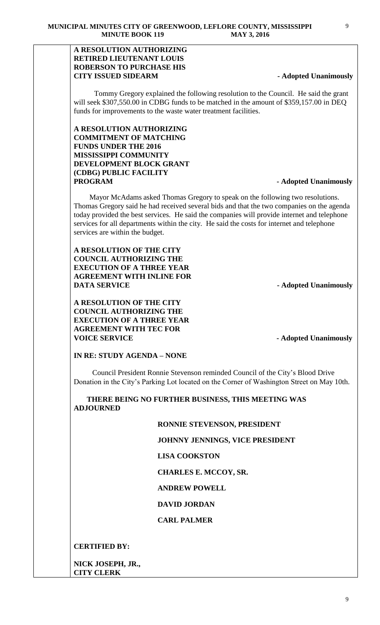### **A RESOLUTION AUTHORIZING RETIRED LIEUTENANT LOUIS ROBERSON TO PURCHASE HIS CITY ISSUED SIDEARM** - **Adopted Unanimously**

Tommy Gregory explained the following resolution to the Council. He said the grant will seek \$307,550.00 in CDBG funds to be matched in the amount of \$359,157.00 in DEO funds for improvements to the waste water treatment facilities.

### **A RESOLUTION AUTHORIZING COMMITMENT OF MATCHING FUNDS UNDER THE 2016 MISSISSIPPI COMMUNITY DEVELOPMENT BLOCK GRANT (CDBG) PUBLIC FACILITY PROGRAM - Adopted Unanimously**

Mayor McAdams asked Thomas Gregory to speak on the following two resolutions. Thomas Gregory said he had received several bids and that the two companies on the agenda today provided the best services. He said the companies will provide internet and telephone services for all departments within the city. He said the costs for internet and telephone services are within the budget.

## **A RESOLUTION OF THE CITY COUNCIL AUTHORIZING THE EXECUTION OF A THREE YEAR AGREEMENT WITH INLINE FOR DATA SERVICE** *Adopted Unanimously*

**A RESOLUTION OF THE CITY COUNCIL AUTHORIZING THE EXECUTION OF A THREE YEAR AGREEMENT WITH TEC FOR VOICE SERVICE - Adopted Unanimously** 

# **IN RE: STUDY AGENDA – NONE**

Council President Ronnie Stevenson reminded Council of the City's Blood Drive Donation in the City's Parking Lot located on the Corner of Washington Street on May 10th.

 **THERE BEING NO FURTHER BUSINESS, THIS MEETING WAS ADJOURNED** 

#### **RONNIE STEVENSON, PRESIDENT**

 **JOHNNY JENNINGS, VICE PRESIDENT**

 **LISA COOKSTON**

 **CHARLES E. MCCOY, SR.** 

#### **ANDREW POWELL**

#### **DAVID JORDAN**

#### **CARL PALMER**

#### **CERTIFIED BY:**

**NICK JOSEPH, JR., CITY CLERK**